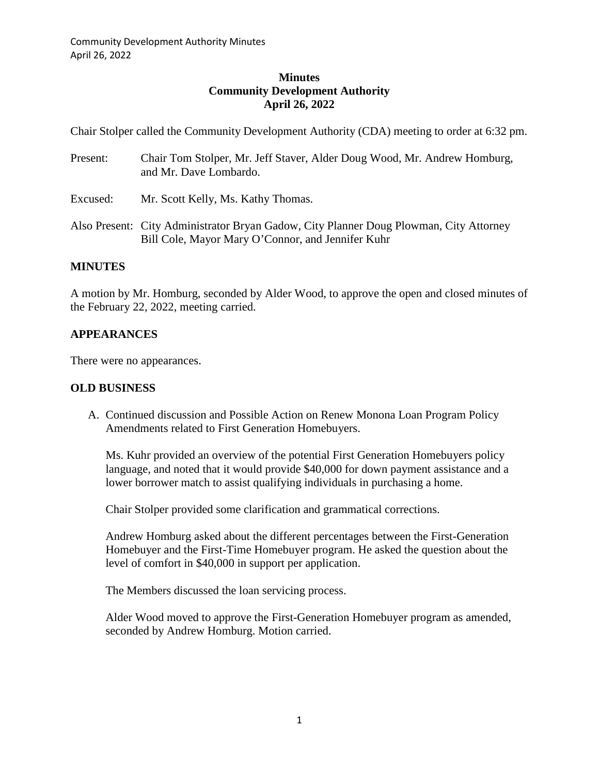## **Minutes Community Development Authority April 26, 2022**

Chair Stolper called the Community Development Authority (CDA) meeting to order at 6:32 pm.

| Present: | Chair Tom Stolper, Mr. Jeff Staver, Alder Doug Wood, Mr. Andrew Homburg,<br>and Mr. Dave Lombardo.                                          |
|----------|---------------------------------------------------------------------------------------------------------------------------------------------|
| Excused: | Mr. Scott Kelly, Ms. Kathy Thomas.                                                                                                          |
|          | Also Present: City Administrator Bryan Gadow, City Planner Doug Plowman, City Attorney<br>Bill Cole, Mayor Mary O'Connor, and Jennifer Kuhr |

## **MINUTES**

A motion by Mr. Homburg, seconded by Alder Wood, to approve the open and closed minutes of the February 22, 2022, meeting carried.

## **APPEARANCES**

There were no appearances.

## **OLD BUSINESS**

A. Continued discussion and Possible Action on Renew Monona Loan Program Policy Amendments related to First Generation Homebuyers.

Ms. Kuhr provided an overview of the potential First Generation Homebuyers policy language, and noted that it would provide \$40,000 for down payment assistance and a lower borrower match to assist qualifying individuals in purchasing a home.

Chair Stolper provided some clarification and grammatical corrections.

Andrew Homburg asked about the different percentages between the First-Generation Homebuyer and the First-Time Homebuyer program. He asked the question about the level of comfort in \$40,000 in support per application.

The Members discussed the loan servicing process.

Alder Wood moved to approve the First-Generation Homebuyer program as amended, seconded by Andrew Homburg. Motion carried.